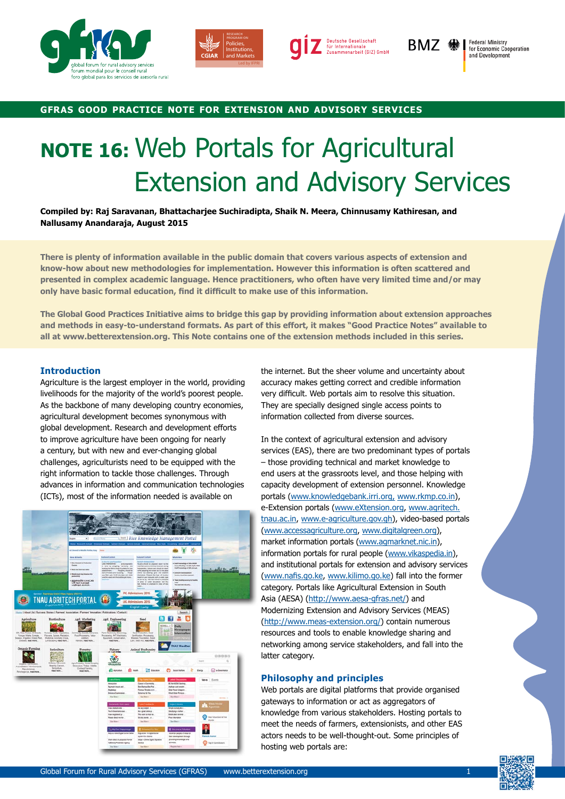





BMZ RA

**Federal Ministry<br>for Economic Cooperation** and Development

# **gfras good practice note for extension and advisory services**

# **NOTE 16:** Web Portals for Agricultural Extension and Advisory Services

**Compiled by: Raj Saravanan, Bhattacharjee Suchiradipta, Shaik N. Meera, Chinnusamy Kathiresan, and Nallusamy Anandaraja, August 2015**

**There is plenty of information available in the public domain that covers various aspects of extension and know-how about new methodologies for implementation. However this information is often scattered and presented in complex academic language. Hence practitioners, who often have very limited time and/or may only have basic formal education, find it difficult to make use of this information.**

**The Global Good Practices Initiative aims to bridge this gap by providing information about extension approaches and methods in easy-to-understand formats. As part of this effort, it makes "Good Practice Notes" available to all at www.betterextension.org. This Note contains one of the extension methods included in this series.**

# **Introduction**

Agriculture is the largest employer in the world, providing livelihoods for the majority of the world's poorest people. As the backbone of many developing country economies, agricultural development becomes synonymous with global development. Research and development efforts to improve agriculture have been ongoing for nearly a century, but with new and ever-changing global challenges, agriculturists need to be equipped with the right information to tackle those challenges. Through advances in information and communication technologies (ICTs), most of the information needed is available on



the internet. But the sheer volume and uncertainty about accuracy makes getting correct and credible information very difficult. Web portals aim to resolve this situation. They are specially designed single access points to information collected from diverse sources.

In the context of agricultural extension and advisory services (EAS), there are two predominant types of portals – those providing technical and market knowledge to end users at the grassroots level, and those helping with capacity development of extension personnel. Knowledge portals ([www.knowledgebank.irri.org,](http://www.knowledgebank.irri.org) [www.rkmp.co.in](http://www.rkmp.co.in)), e-Extension portals (www.eXtension.org, [www.agritech.](http://www.agritech.tnau.ac.in) [tnau.ac.in](http://www.agritech.tnau.ac.in), [www.e-agriculture.gov.gh](http://www.e-agriculture.gov.gh)), video-based portals [\(www.accessagriculture.org,](http://www.accessagriculture.org) [www.digitalgreen.org](http://www.digitalgreen.org)), market information portals [\(www.agmarknet.nic.in](http://www.agmarknet.nic.in)), information portals for rural people [\(www.vikaspedia.in](http://www.vikaspedia.in)), and institutional portals for extension and advisory services ([www.nafis.go.ke](http://www.nafis.go.ke), [www.kilimo.go.ke\)](http://www.kilimo.go.ke) fall into the former category. Portals like Agricultural Extension in South Asia (AESA) [\(http://www.aesa-gfras.net/\)](http://www.aesa-gfras.net/) and Modernizing Extension and Advisory Services (MEAS) (http://www.meas-extension.org/) contain numerous resources and tools to enable knowledge sharing and networking among service stakeholders, and fall into the latter category.

# **Philosophy and principles**

Web portals are digital platforms that provide organised gateways to information or act as aggregators of knowledge from various stakeholders. Hosting portals to meet the needs of farmers, extensionists, and other EAS actors needs to be well-thought-out. Some principles of hosting web portals are:

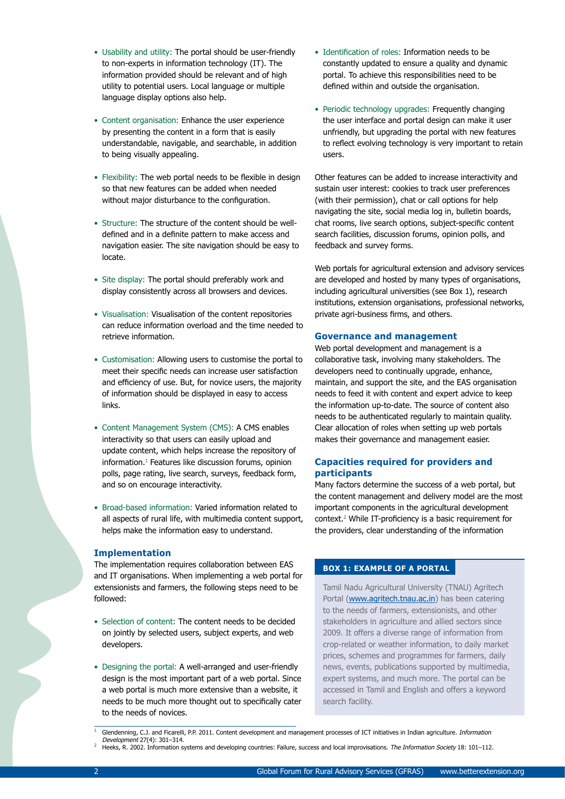- Usability and utility: The portal should be user-friendly to non-experts in information technology (IT). The information provided should be relevant and of high utility to potential users. Local language or multiple language display options also help.
- Content organisation: Enhance the user experience by presenting the content in a form that is easily understandable, navigable, and searchable, in addition to being visually appealing.
- Flexibility: The web portal needs to be flexible in design so that new features can be added when needed without major disturbance to the configuration.
- Structure: The structure of the content should be welldefined and in a definite pattern to make access and navigation easier. The site navigation should be easy to locate.
- Site display: The portal should preferably work and display consistently across all browsers and devices.
- Visualisation: Visualisation of the content repositories can reduce information overload and the time needed to retrieve information.
- Customisation: Allowing users to customise the portal to meet their specific needs can increase user satisfaction and efficiency of use. But, for novice users, the majority of information should be displayed in easy to access links.
- Content Management System (CMS): A CMS enables interactivity so that users can easily upload and update content, which helps increase the repository of information.1 Features like discussion forums, opinion polls, page rating, live search, surveys, feedback form, and so on encourage interactivity.
- Broad-based information: Varied information related to all aspects of rural life, with multimedia content support, helps make the information easy to understand.

#### **Implementation**

The implementation requires collaboration between EAS and IT organisations. When implementing a web portal for extensionists and farmers, the following steps need to be followed:

- Selection of content: The content needs to be decided on jointly by selected users, subject experts, and web developers.
- Designing the portal: A well-arranged and user-friendly design is the most important part of a web portal. Since a web portal is much more extensive than a website, it needs to be much more thought out to specifically cater to the needs of novices.
- Identification of roles: Information needs to be constantly updated to ensure a quality and dynamic portal. To achieve this responsibilities need to be defined within and outside the organisation.
- Periodic technology upgrades: Frequently changing the user interface and portal design can make it user unfriendly, but upgrading the portal with new features to reflect evolving technology is very important to retain users.

Other features can be added to increase interactivity and sustain user interest: cookies to track user preferences (with their permission), chat or call options for help navigating the site, social media log in, bulletin boards, chat rooms, live search options, subject-specific content search facilities, discussion forums, opinion polls, and feedback and survey forms.

Web portals for agricultural extension and advisory services are developed and hosted by many types of organisations, including agricultural universities (see Box 1), research institutions, extension organisations, professional networks, private agri-business firms, and others.

#### **Governance and management**

Web portal development and management is a collaborative task, involving many stakeholders. The developers need to continually upgrade, enhance, maintain, and support the site, and the EAS organisation needs to feed it with content and expert advice to keep the information up-to-date. The source of content also needs to be authenticated regularly to maintain quality. Clear allocation of roles when setting up web portals makes their governance and management easier.

# **Capacities required for providers and participants**

Many factors determine the success of a web portal, but the content management and delivery model are the most important components in the agricultural development context.2 While IT-proficiency is a basic requirement for the providers, clear understanding of the information

# **BOX 1: EXAMPLE OF A PORTAL**

Tamil Nadu Agricultural University (TNAU) Agritech Portal ([www.agritech.tnau.ac.in\)](http://www.agritech.tnau.ac.in) has been catering to the needs of farmers, extensionists, and other stakeholders in agriculture and allied sectors since 2009. It offers a diverse range of information from crop-related or weather information, to daily market prices, schemes and programmes for farmers, daily news, events, publications supported by multimedia, expert systems, and much more. The portal can be accessed in Tamil and English and offers a keyword search facility.

Heeks, R. 2002. Information systems and developing countries: Failure, success and local improvisations. The Information Society 18: 101-112.

Glendenning, C.J. and Ficarelli, P.P. 2011. Content development and management processes of ICT initiatives in Indian agriculture. Information Development 27(4): 301–314.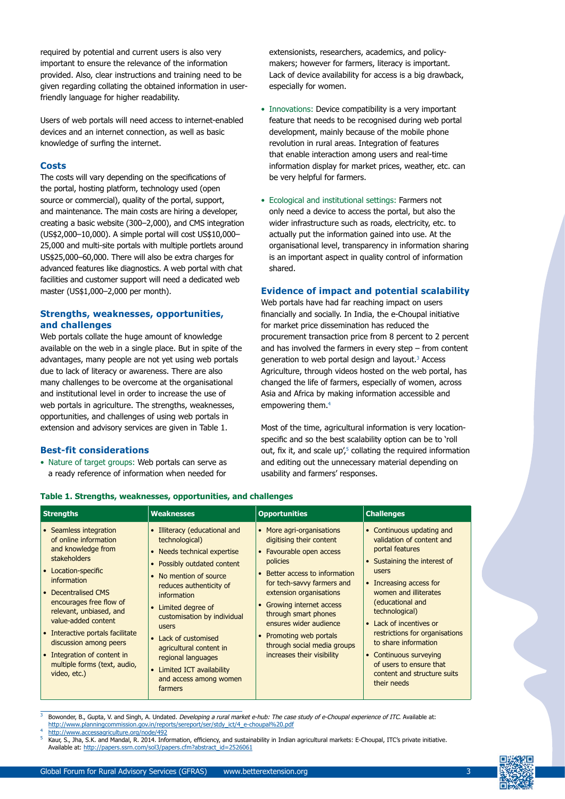required by potential and current users is also very important to ensure the relevance of the information provided. Also, clear instructions and training need to be given regarding collating the obtained information in userfriendly language for higher readability.

Users of web portals will need access to internet-enabled devices and an internet connection, as well as basic knowledge of surfing the internet.

#### **Costs**

The costs will vary depending on the specifications of the portal, hosting platform, technology used (open source or commercial), quality of the portal, support, and maintenance. The main costs are hiring a developer, creating a basic website (300–2,000), and CMS integration (US\$2,000–10,000). A simple portal will cost US\$10,000– 25,000 and multi-site portals with multiple portlets around US\$25,000–60,000. There will also be extra charges for advanced features like diagnostics. A web portal with chat facilities and customer support will need a dedicated web master (US\$1,000–2,000 per month).

# **Strengths, weaknesses, opportunities, and challenges**

Web portals collate the huge amount of knowledge available on the web in a single place. But in spite of the advantages, many people are not yet using web portals due to lack of literacy or awareness. There are also many challenges to be overcome at the organisational and institutional level in order to increase the use of web portals in agriculture. The strengths, weaknesses, opportunities, and challenges of using web portals in extension and advisory services are given in Table 1.

### **Best-fit considerations**

• Nature of target groups: Web portals can serve as a ready reference of information when needed for

**Table 1. Strengths, weaknesses, opportunities, and challenges**

extensionists, researchers, academics, and policymakers; however for farmers, literacy is important. Lack of device availability for access is a big drawback, especially for women.

- Innovations: Device compatibility is a very important feature that needs to be recognised during web portal development, mainly because of the mobile phone revolution in rural areas. Integration of features that enable interaction among users and real-time information display for market prices, weather, etc. can be very helpful for farmers.
- Ecological and institutional settings: Farmers not only need a device to access the portal, but also the wider infrastructure such as roads, electricity, etc. to actually put the information gained into use. At the organisational level, transparency in information sharing is an important aspect in quality control of information shared.

# **Evidence of impact and potential scalability**

Web portals have had far reaching impact on users financially and socially. In India, the e-Choupal initiative for market price dissemination has reduced the procurement transaction price from 8 percent to 2 percent and has involved the farmers in every step – from content generation to web portal design and layout.<sup>3</sup> Access Agriculture, through videos hosted on the web portal, has changed the life of farmers, especially of women, across Asia and Africa by making information accessible and empowering them.4

Most of the time, agricultural information is very locationspecific and so the best scalability option can be to 'roll out, fix it, and scale  $up'_i$ <sup>5</sup> collating the required information and editing out the unnecessary material depending on usability and farmers' responses.

| <b>Strengths</b>                                                                                                                                                                                                                                                                                                                                                                                                          | <b>Weaknesses</b>                                                                                                                                                                                                                                                                                                                                                                          | <b>Opportunities</b>                                                                                                                                                                                                                                                                                                                                                     | <b>Challenges</b>                                                                                                                                                                                                                                                                                                                                                                                    |
|---------------------------------------------------------------------------------------------------------------------------------------------------------------------------------------------------------------------------------------------------------------------------------------------------------------------------------------------------------------------------------------------------------------------------|--------------------------------------------------------------------------------------------------------------------------------------------------------------------------------------------------------------------------------------------------------------------------------------------------------------------------------------------------------------------------------------------|--------------------------------------------------------------------------------------------------------------------------------------------------------------------------------------------------------------------------------------------------------------------------------------------------------------------------------------------------------------------------|------------------------------------------------------------------------------------------------------------------------------------------------------------------------------------------------------------------------------------------------------------------------------------------------------------------------------------------------------------------------------------------------------|
| Seamless integration<br>$\bullet$<br>of online information<br>and knowledge from<br><b>stakeholders</b><br>Location-specific<br>$\bullet$<br>information<br><b>Decentralised CMS</b><br>$\bullet$<br>encourages free flow of<br>relevant, unbiased, and<br>value-added content<br>Interactive portals facilitate<br>discussion among peers<br>• Integration of content in<br>multiple forms (text, audio,<br>video, etc.) | Illiteracy (educational and<br>technological)<br>• Needs technical expertise<br>• Possibly outdated content<br>• No mention of source<br>reduces authenticity of<br>information<br>• Limited degree of<br>customisation by individual<br>users<br>• Lack of customised<br>agricultural content in<br>regional languages<br>• Limited ICT availability<br>and access among women<br>farmers | • More agri-organisations<br>digitising their content<br>• Favourable open access<br>policies<br>Better access to information<br>for tech-savvy farmers and<br>extension organisations<br>• Growing internet access<br>through smart phones<br>ensures wider audience<br>Promoting web portals<br>$\bullet$<br>through social media groups<br>increases their visibility | • Continuous updating and<br>validation of content and<br>portal features<br>• Sustaining the interest of<br>users<br>• Increasing access for<br>women and illiterates<br>(educational and<br>technological)<br>• Lack of incentives or<br>restrictions for organisations<br>to share information<br>• Continuous surveying<br>of users to ensure that<br>content and structure suits<br>their needs |

#### Bowonder, B., Gupta, V. and Singh, A. Undated. Developing a rural market e-hub: The case study of e-Choupal experience of ITC. Available at: http://www.planningcommission.gov.in/reports/sereport/ser/stdy\_ict/4\_e-choupal%20.pdf http://www.accessagriculture.org/node/49

<sup>5</sup> Kaur, S., Jha, S.K. and Mandal, R. 2014. Information, efficiency, and sustainability in Indian agricultural markets: E-Choupal, ITC's private initiative. Available at: http://papers.ssrn.com/sol3/papers.cfm?abstract\_id=2526061